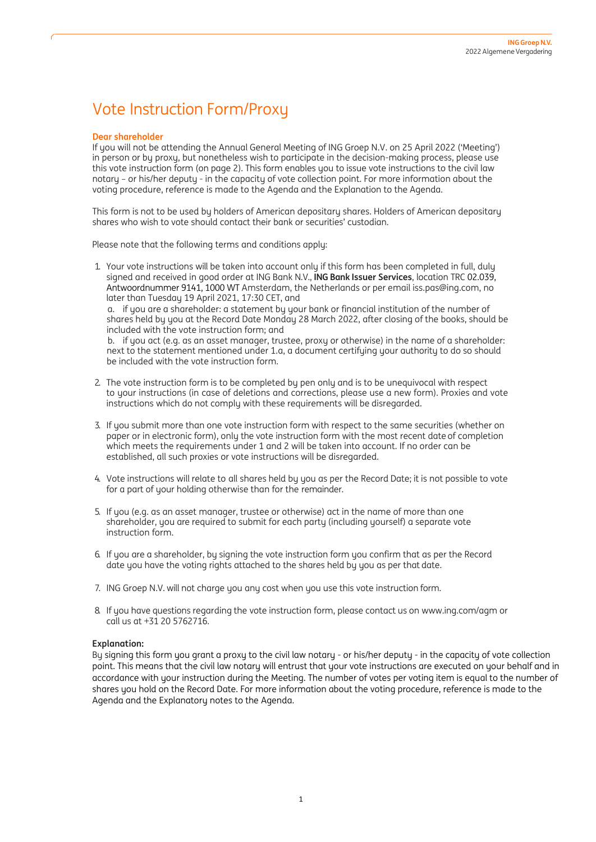# Vote Instruction Form/Proxy

#### **Dear shareholder**

If you will not be attending the Annual General Meeting of ING Groep N.V. on 25 April 2022 ('Meeting') in person or by proxy, but nonetheless wish to participate in the decision-making process, please use this vote instruction form (on page 2). This form enables you to issue vote instructions to the civil law notary – or his/her deputy - in the capacity of vote collection point. For more information about the voting procedure, reference is made to the Agenda and the Explanation to the Agenda.

This form is not to be used by holders of American depositary shares. Holders of American depositary shares who wish to vote should contact their bank or securities' custodian.

Please note that the following terms and conditions apply:

1. Your vote instructions will be taken into account only if this form has been completed in full, duly signed and received in good order at ING Bank N.V., **ING Bank Issuer Services**, location TRC 02.039, Antwoordnummer 9141, 1000 WT Amsterdam, the Netherlands or per email iss.pas@ing.com, no later than Tuesday 19 April 2021, 17:30 CET, and

a. if you are a shareholder: a statement by your bank or financial institution of the number of shares held by you at the Record Date Monday 28 March 2022, after closing of the books, should be included with the vote instruction form; and

b. if you act (e.g. as an asset manager, trustee, proxy or otherwise) in the name of a shareholder: next to the statement mentioned under 1.a, a document certifying your authority to do so should be included with the vote instruction form.

- 2. The vote instruction form is to be completed by pen only and is to be unequivocal with respect to your instructions (in case of deletions and corrections, please use a new form). Proxies and vote instructions which do not comply with these requirements will be disregarded.
- 3. If you submit more than one vote instruction form with respect to the same securities (whether on paper or in electronic form), only the vote instruction form with the most recent date of completion which meets the requirements under 1 and 2 will be taken into account. If no order can be established, all such proxies or vote instructions will be disregarded.
- 4. Vote instructions will relate to all shares held by you as per the Record Date; it is not possible to vote for a part of your holding otherwise than for the remainder.
- 5. If you (e.g. as an asset manager, trustee or otherwise) act in the name of more than one shareholder, you are required to submit for each party (including yourself) a separate vote instruction form.
- 6. If you are a shareholder, by signing the vote instruction form you confirm that as per the Record date you have the voting rights attached to the shares held by you as per that date.
- 7. ING Groep N.V. will not charge you any cost when you use this vote instruction form.
- 8. If you have questions regarding the vote instruction form, please contact us o[n www.ing.com/agm](http://www.ing.com/agm) or call us at +31 20 5762716.

## **Explanation:**

By signing this form you grant a proxy to the civil law notary - or his/her deputy - in the capacity of vote collection point. This means that the civil law notary will entrust that your vote instructions are executed on your behalf and in accordance with your instruction during the Meeting. The number of votes per voting item is equal to the number of shares you hold on the Record Date. For more information about the voting procedure, reference is made to the Agenda and the Explanatory notes to the Agenda.